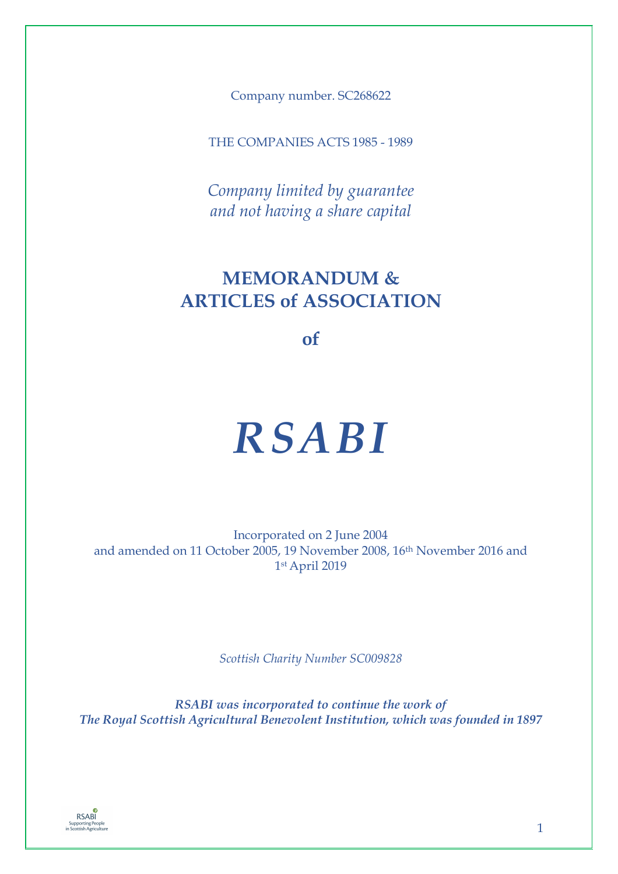Company number. SC268622

THE COMPANIES ACTS 1985 - 1989

*Company limited by guarantee and not having a share capital* 

# **MEMORANDUM & ARTICLES of ASSOCIATION**

**of**

# *RSABI*

Incorporated on 2 June 2004 and amended on 11 October 2005, 19 November 2008, 16th November 2016 and 1 st April 2019

*Scottish Charity Number SC009828* 

*RSABI was incorporated to continue the work of The Royal Scottish Agricultural Benevolent Institution, which was founded in 1897*

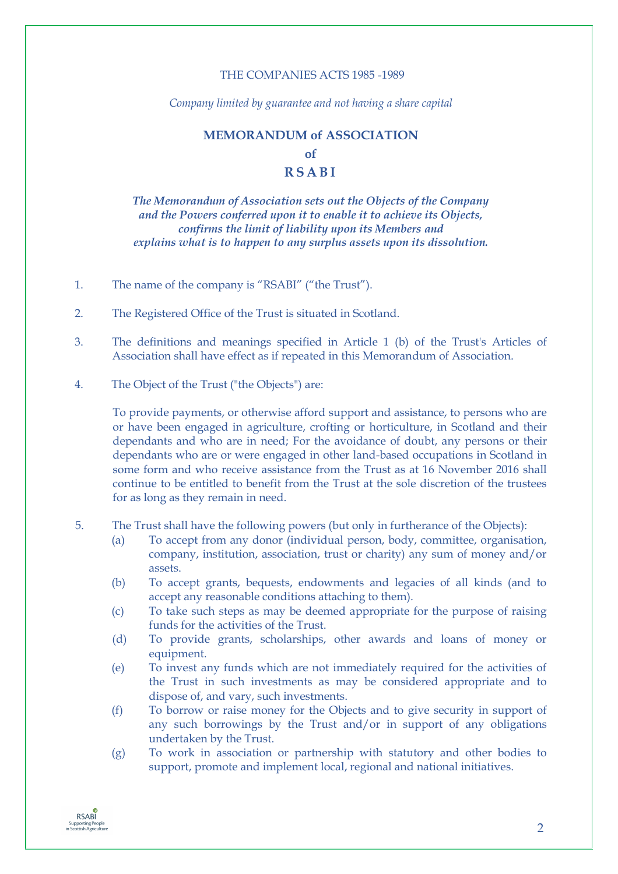# THE COMPANIES ACTS 1985 -1989

*Company limited by guarantee and not having a share capital* 

# **MEMORANDUM of ASSOCIATION of RSABI**

*The Memorandum of Association sets out the Objects of the Company and the Powers conferred upon it to enable it to achieve its Objects, confirms the limit of liability upon its Members and explains what is to happen to any surplus assets upon its dissolution.*

- 1. The name of the company is "RSABI" ("the Trust").
- 2. The Registered Office of the Trust is situated in Scotland.
- 3. The definitions and meanings specified in Article 1 (b) of the Trust's Articles of Association shall have effect as if repeated in this Memorandum of Association.
- 4. The Object of the Trust ("the Objects") are:

To provide payments, or otherwise afford support and assistance, to persons who are or have been engaged in agriculture, crofting or horticulture, in Scotland and their dependants and who are in need; For the avoidance of doubt, any persons or their dependants who are or were engaged in other land-based occupations in Scotland in some form and who receive assistance from the Trust as at 16 November 2016 shall continue to be entitled to benefit from the Trust at the sole discretion of the trustees for as long as they remain in need.

- 5. The Trust shall have the following powers (but only in furtherance of the Objects):
	- (a) To accept from any donor (individual person, body, committee, organisation, company, institution, association, trust or charity) any sum of money and/or assets.
	- (b) To accept grants, bequests, endowments and legacies of all kinds (and to accept any reasonable conditions attaching to them).
	- (c) To take such steps as may be deemed appropriate for the purpose of raising funds for the activities of the Trust.
	- (d) To provide grants, scholarships, other awards and loans of money or equipment.
	- (e) To invest any funds which are not immediately required for the activities of the Trust in such investments as may be considered appropriate and to dispose of, and vary, such investments.
	- (f) To borrow or raise money for the Objects and to give security in support of any such borrowings by the Trust and/or in support of any obligations undertaken by the Trust.
	- (g) To work in association or partnership with statutory and other bodies to support, promote and implement local, regional and national initiatives.

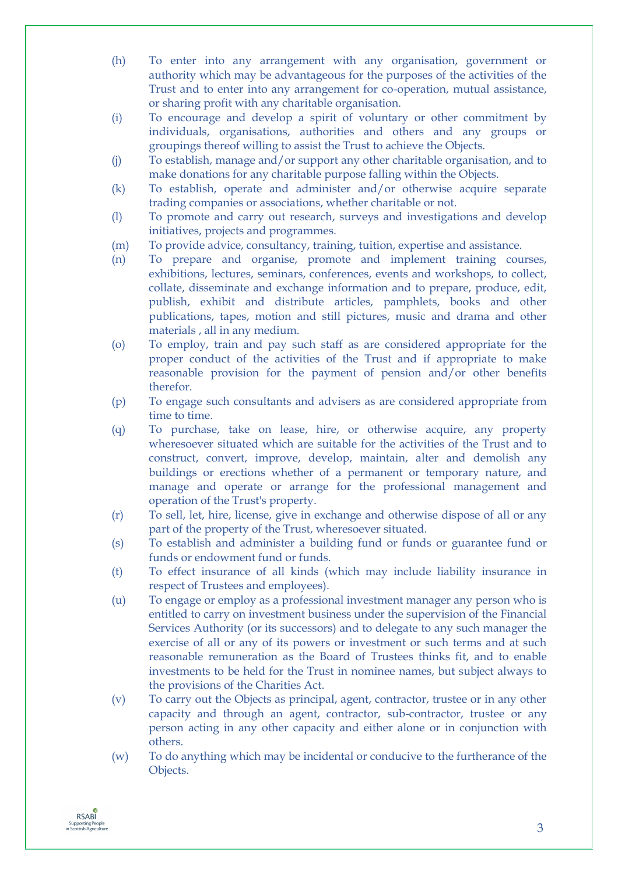- (h) To enter into any arrangement with any organisation, government or authority which may be advantageous for the purposes of the activities of the Trust and to enter into any arrangement for co-operation, mutual assistance, or sharing profit with any charitable organisation.
- (i) To encourage and develop a spirit of voluntary or other commitment by individuals, organisations, authorities and others and any groups or groupings thereof willing to assist the Trust to achieve the Objects.
- (j) To establish, manage and/or support any other charitable organisation, and to make donations for any charitable purpose falling within the Objects.
- (k) To establish, operate and administer and/or otherwise acquire separate trading companies or associations, whether charitable or not.
- (l) To promote and carry out research, surveys and investigations and develop initiatives, projects and programmes.
- (m) To provide advice, consultancy, training, tuition, expertise and assistance.
- (n) To prepare and organise, promote and implement training courses, exhibitions, lectures, seminars, conferences, events and workshops, to collect, collate, disseminate and exchange information and to prepare, produce, edit, publish, exhibit and distribute articles, pamphlets, books and other publications, tapes, motion and still pictures, music and drama and other materials , all in any medium.
- (o) To employ, train and pay such staff as are considered appropriate for the proper conduct of the activities of the Trust and if appropriate to make reasonable provision for the payment of pension and/or other benefits therefor.
- (p) To engage such consultants and advisers as are considered appropriate from time to time.
- (q) To purchase, take on lease, hire, or otherwise acquire, any property wheresoever situated which are suitable for the activities of the Trust and to construct, convert, improve, develop, maintain, alter and demolish any buildings or erections whether of a permanent or temporary nature, and manage and operate or arrange for the professional management and operation of the Trust's property.
- (r) To sell, let, hire, license, give in exchange and otherwise dispose of all or any part of the property of the Trust, wheresoever situated.
- (s) To establish and administer a building fund or funds or guarantee fund or funds or endowment fund or funds.
- (t) To effect insurance of all kinds (which may include liability insurance in respect of Trustees and employees).
- (u) To engage or employ as a professional investment manager any person who is entitled to carry on investment business under the supervision of the Financial Services Authority (or its successors) and to delegate to any such manager the exercise of all or any of its powers or investment or such terms and at such reasonable remuneration as the Board of Trustees thinks fit, and to enable investments to be held for the Trust in nominee names, but subject always to the provisions of the Charities Act.
- (v) To carry out the Objects as principal, agent, contractor, trustee or in any other capacity and through an agent, contractor, sub-contractor, trustee or any person acting in any other capacity and either alone or in conjunction with others.
- (w) To do anything which may be incidental or conducive to the furtherance of the Objects.

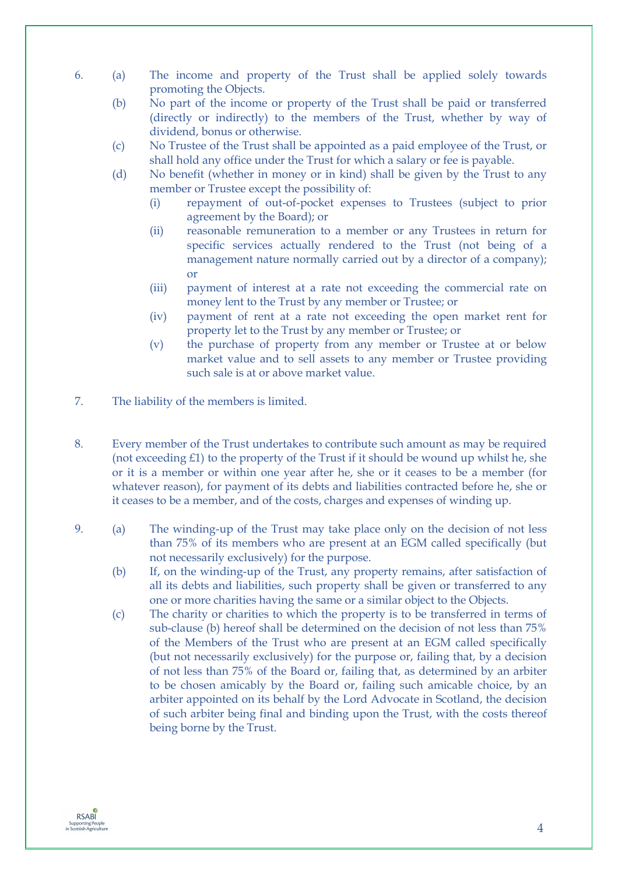- 6. (a) The income and property of the Trust shall be applied solely towards promoting the Objects.
	- (b) No part of the income or property of the Trust shall be paid or transferred (directly or indirectly) to the members of the Trust, whether by way of dividend, bonus or otherwise.
	- (c) No Trustee of the Trust shall be appointed as a paid employee of the Trust, or shall hold any office under the Trust for which a salary or fee is payable.
	- (d) No benefit (whether in money or in kind) shall be given by the Trust to any member or Trustee except the possibility of:
		- (i) repayment of out-of-pocket expenses to Trustees (subject to prior agreement by the Board); or
		- (ii) reasonable remuneration to a member or any Trustees in return for specific services actually rendered to the Trust (not being of a management nature normally carried out by a director of a company); or
		- (iii) payment of interest at a rate not exceeding the commercial rate on money lent to the Trust by any member or Trustee; or
		- (iv) payment of rent at a rate not exceeding the open market rent for property let to the Trust by any member or Trustee; or
		- (v) the purchase of property from any member or Trustee at or below market value and to sell assets to any member or Trustee providing such sale is at or above market value.
- 7. The liability of the members is limited.
- 8. Every member of the Trust undertakes to contribute such amount as may be required (not exceeding £1) to the property of the Trust if it should be wound up whilst he, she or it is a member or within one year after he, she or it ceases to be a member (for whatever reason), for payment of its debts and liabilities contracted before he, she or it ceases to be a member, and of the costs, charges and expenses of winding up.
- 9. (a) The winding-up of the Trust may take place only on the decision of not less than 75% of its members who are present at an EGM called specifically (but not necessarily exclusively) for the purpose.
	- (b) If, on the winding-up of the Trust, any property remains, after satisfaction of all its debts and liabilities, such property shall be given or transferred to any one or more charities having the same or a similar object to the Objects.
	- (c) The charity or charities to which the property is to be transferred in terms of sub-clause (b) hereof shall be determined on the decision of not less than 75% of the Members of the Trust who are present at an EGM called specifically (but not necessarily exclusively) for the purpose or, failing that, by a decision of not less than 75% of the Board or, failing that, as determined by an arbiter to be chosen amicably by the Board or, failing such amicable choice, by an arbiter appointed on its behalf by the Lord Advocate in Scotland, the decision of such arbiter being final and binding upon the Trust, with the costs thereof being borne by the Trust.

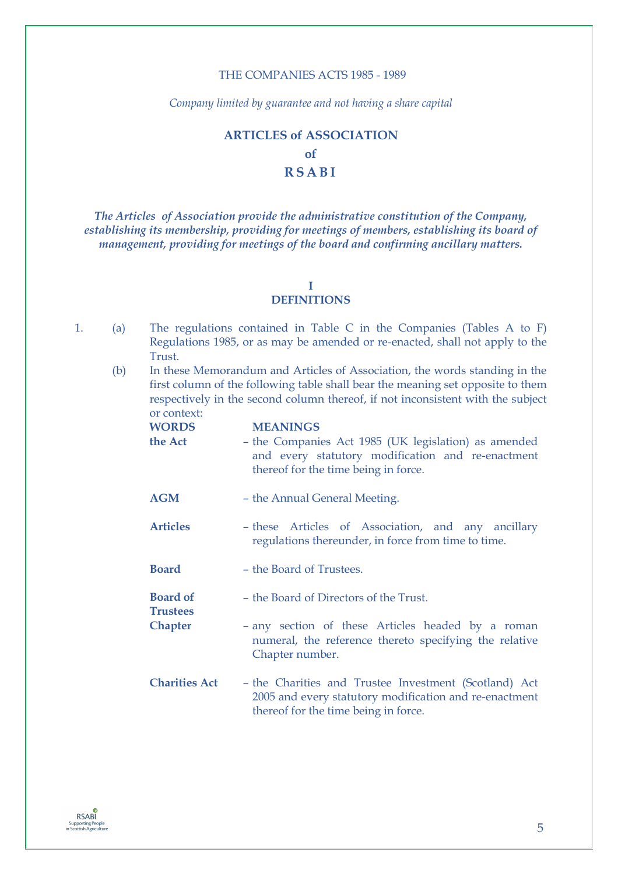# THE COMPANIES ACTS 1985 - 1989

*Company limited by guarantee and not having a share capital* 

# **ARTICLES of ASSOCIATION of RSABI**

*The Articles of Association provide the administrative constitution of the Company, establishing its membership, providing for meetings of members, establishing its board of management, providing for meetings of the board and confirming ancillary matters.*

# **I**

# **DEFINITIONS**

- 1. (a) The regulations contained in Table C in the Companies (Tables A to F) Regulations 1985, or as may be amended or re-enacted, shall not apply to the Trust.
	- (b) In these Memorandum and Articles of Association, the words standing in the first column of the following table shall bear the meaning set opposite to them respectively in the second column thereof, if not inconsistent with the subject or context:

| <b>WORDS</b>                       | <b>MEANINGS</b>                                                                                                                                         |
|------------------------------------|---------------------------------------------------------------------------------------------------------------------------------------------------------|
| the Act                            | - the Companies Act 1985 (UK legislation) as amended<br>and every statutory modification and re-enactment<br>thereof for the time being in force.       |
| <b>AGM</b>                         | - the Annual General Meeting.                                                                                                                           |
| <b>Articles</b>                    | - these Articles of Association, and any ancillary<br>regulations thereunder, in force from time to time.                                               |
| <b>Board</b>                       | - the Board of Trustees.                                                                                                                                |
| <b>Board of</b><br><b>Trustees</b> | - the Board of Directors of the Trust.                                                                                                                  |
| <b>Chapter</b>                     | - any section of these Articles headed by a roman<br>numeral, the reference thereto specifying the relative<br>Chapter number.                          |
| <b>Charities Act</b>               | - the Charities and Trustee Investment (Scotland) Act<br>2005 and every statutory modification and re-enactment<br>thereof for the time being in force. |

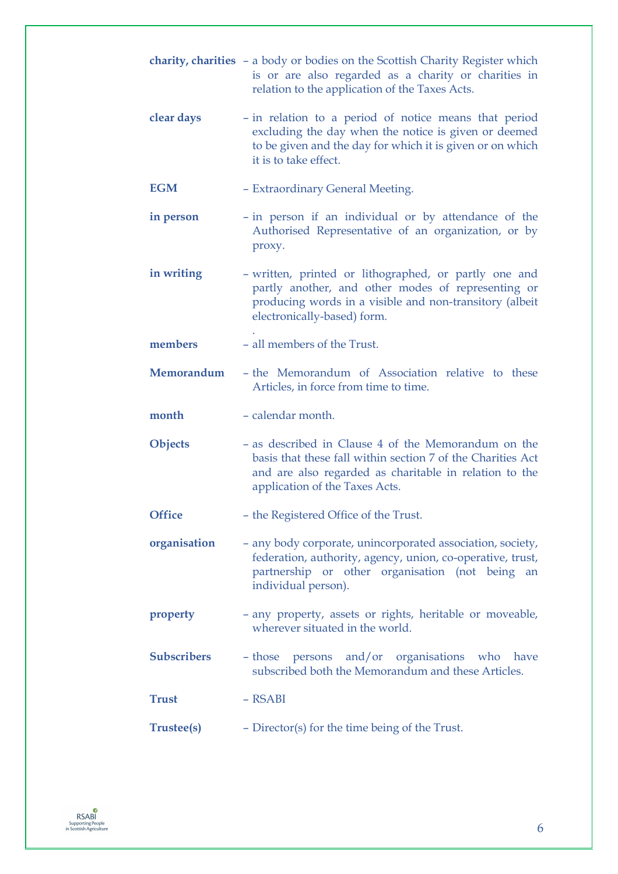|                    | <b>charity, charities</b> - a body or bodies on the Scottish Charity Register which<br>is or are also regarded as a charity or charities in<br>relation to the application of the Taxes Acts.                  |
|--------------------|----------------------------------------------------------------------------------------------------------------------------------------------------------------------------------------------------------------|
| clear days         | - in relation to a period of notice means that period<br>excluding the day when the notice is given or deemed<br>to be given and the day for which it is given or on which<br>it is to take effect.            |
| <b>EGM</b>         | - Extraordinary General Meeting.                                                                                                                                                                               |
| in person          | - in person if an individual or by attendance of the<br>Authorised Representative of an organization, or by<br>proxy.                                                                                          |
| in writing         | - written, printed or lithographed, or partly one and<br>partly another, and other modes of representing or<br>producing words in a visible and non-transitory (albeit<br>electronically-based) form.          |
| members            | - all members of the Trust.                                                                                                                                                                                    |
| Memorandum         | - the Memorandum of Association relative to these<br>Articles, in force from time to time.                                                                                                                     |
| month              | - calendar month.                                                                                                                                                                                              |
| <b>Objects</b>     | - as described in Clause 4 of the Memorandum on the<br>basis that these fall within section 7 of the Charities Act<br>and are also regarded as charitable in relation to the<br>application of the Taxes Acts. |
| <b>Office</b>      | - the Registered Office of the Trust.                                                                                                                                                                          |
| organisation       | - any body corporate, unincorporated association, society,<br>federation, authority, agency, union, co-operative, trust,<br>partnership or other organisation (not being an<br>individual person).             |
| property           | - any property, assets or rights, heritable or moveable,<br>wherever situated in the world.                                                                                                                    |
| <b>Subscribers</b> | - those persons and/or organisations who have<br>subscribed both the Memorandum and these Articles.                                                                                                            |
| <b>Trust</b>       | - RSABI                                                                                                                                                                                                        |
| <b>Trustee(s)</b>  | - Director(s) for the time being of the Trust.                                                                                                                                                                 |

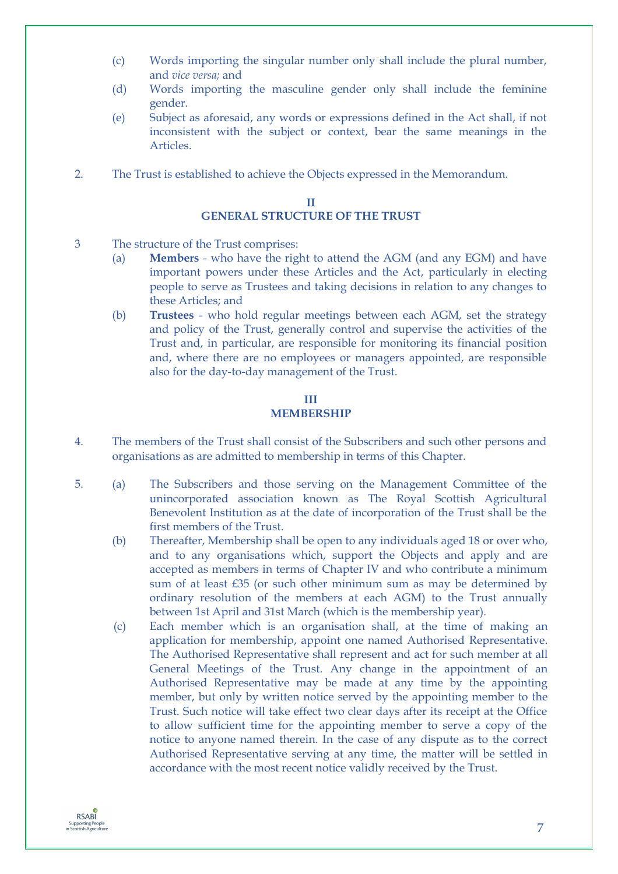- (c) Words importing the singular number only shall include the plural number, and *vice versa;* and
- (d) Words importing the masculine gender only shall include the feminine gender.
- (e) Subject as aforesaid, any words or expressions defined in the Act shall, if not inconsistent with the subject or context, bear the same meanings in the **Articles**
- 2. The Trust is established to achieve the Objects expressed in the Memorandum.

### **II GENERAL STRUCTURE OF THE TRUST**

- 3 The structure of the Trust comprises:
	- (a) **Members** who have the right to attend the AGM (and any EGM) and have important powers under these Articles and the Act, particularly in electing people to serve as Trustees and taking decisions in relation to any changes to these Articles; and
	- (b) **Trustees** who hold regular meetings between each AGM, set the strategy and policy of the Trust, generally control and supervise the activities of the Trust and, in particular, are responsible for monitoring its financial position and, where there are no employees or managers appointed, are responsible also for the day-to-day management of the Trust.

# **III MEMBERSHIP**

- 4. The members of the Trust shall consist of the Subscribers and such other persons and organisations as are admitted to membership in terms of this Chapter.
- 5. (a) The Subscribers and those serving on the Management Committee of the unincorporated association known as The Royal Scottish Agricultural Benevolent Institution as at the date of incorporation of the Trust shall be the first members of the Trust.
	- (b) Thereafter, Membership shall be open to any individuals aged 18 or over who, and to any organisations which, support the Objects and apply and are accepted as members in terms of Chapter IV and who contribute a minimum sum of at least £35 (or such other minimum sum as may be determined by ordinary resolution of the members at each AGM) to the Trust annually between 1st April and 31st March (which is the membership year).
	- (c) Each member which is an organisation shall, at the time of making an application for membership, appoint one named Authorised Representative. The Authorised Representative shall represent and act for such member at all General Meetings of the Trust. Any change in the appointment of an Authorised Representative may be made at any time by the appointing member, but only by written notice served by the appointing member to the Trust. Such notice will take effect two clear days after its receipt at the Office to allow sufficient time for the appointing member to serve a copy of the notice to anyone named therein. In the case of any dispute as to the correct Authorised Representative serving at any time, the matter will be settled in accordance with the most recent notice validly received by the Trust.

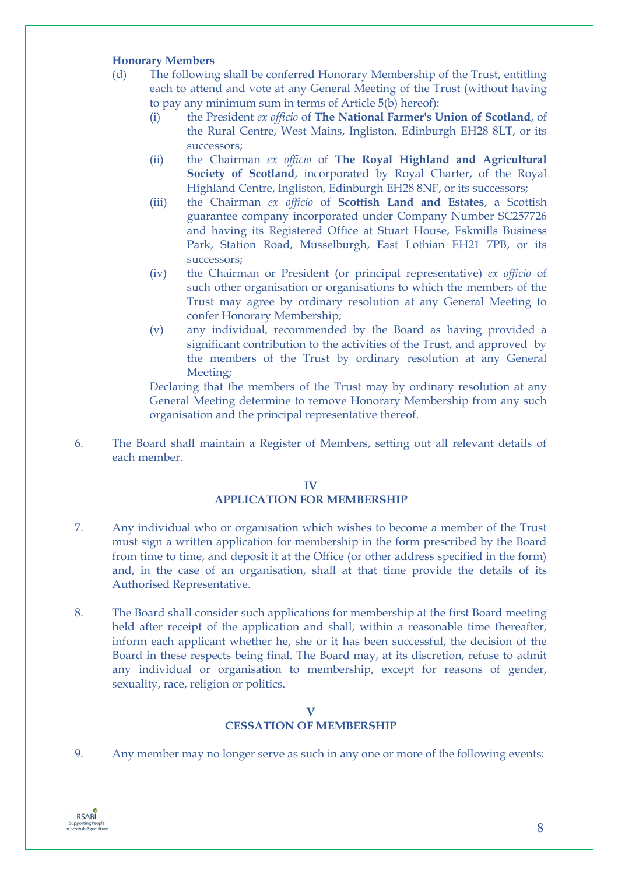# **Honorary Members**

- (d) The following shall be conferred Honorary Membership of the Trust, entitling each to attend and vote at any General Meeting of the Trust (without having to pay any minimum sum in terms of Article 5(b) hereof):
	- (i) the President *ex officio* of **The National Farmer's Union of Scotland**, of the Rural Centre, West Mains, Ingliston, Edinburgh EH28 8LT, or its successors;
	- (ii) the Chairman *ex officio* of **The Royal Highland and Agricultural** Society of Scotland, incorporated by Royal Charter, of the Royal Highland Centre, Ingliston, Edinburgh EH28 8NF, or its successors;
	- (iii) the Chairman *ex officio* of **Scottish Land and Estates**, a Scottish guarantee company incorporated under Company Number SC257726 and having its Registered Office at Stuart House, Eskmills Business Park, Station Road, Musselburgh, East Lothian EH21 7PB, or its successors;
	- (iv) the Chairman or President (or principal representative) *ex officio* of such other organisation or organisations to which the members of the Trust may agree by ordinary resolution at any General Meeting to confer Honorary Membership;
	- (v) any individual, recommended by the Board as having provided a significant contribution to the activities of the Trust, and approved by the members of the Trust by ordinary resolution at any General Meeting;

Declaring that the members of the Trust may by ordinary resolution at any General Meeting determine to remove Honorary Membership from any such organisation and the principal representative thereof.

6. The Board shall maintain a Register of Members, setting out all relevant details of each member.

# **IV APPLICATION FOR MEMBERSHIP**

- 7. Any individual who or organisation which wishes to become a member of the Trust must sign a written application for membership in the form prescribed by the Board from time to time, and deposit it at the Office (or other address specified in the form) and, in the case of an organisation, shall at that time provide the details of its Authorised Representative.
- 8. The Board shall consider such applications for membership at the first Board meeting held after receipt of the application and shall, within a reasonable time thereafter, inform each applicant whether he, she or it has been successful, the decision of the Board in these respects being final. The Board may, at its discretion, refuse to admit any individual or organisation to membership, except for reasons of gender, sexuality, race, religion or politics.

# **V CESSATION OF MEMBERSHIP**

9. Any member may no longer serve as such in any one or more of the following events:

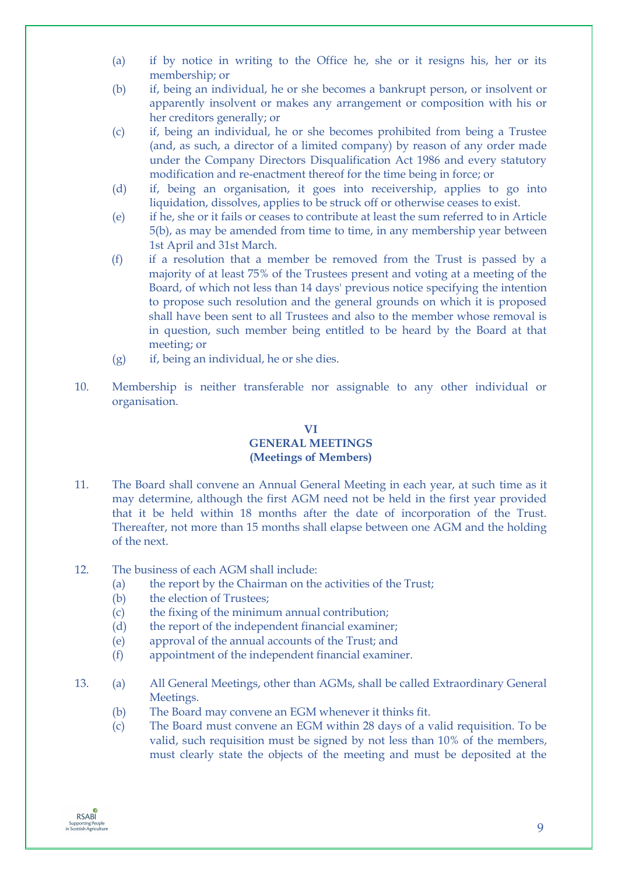- (a) if by notice in writing to the Office he, she or it resigns his, her or its membership; or
- (b) if, being an individual, he or she becomes a bankrupt person, or insolvent or apparently insolvent or makes any arrangement or composition with his or her creditors generally; or
- (c) if, being an individual, he or she becomes prohibited from being a Trustee (and, as such, a director of a limited company) by reason of any order made under the Company Directors Disqualification Act 1986 and every statutory modification and re-enactment thereof for the time being in force; or
- (d) if, being an organisation, it goes into receivership, applies to go into liquidation, dissolves, applies to be struck off or otherwise ceases to exist.
- (e) if he, she or it fails or ceases to contribute at least the sum referred to in Article 5(b), as may be amended from time to time, in any membership year between 1st April and 31st March.
- (f) if a resolution that a member be removed from the Trust is passed by a majority of at least 75% of the Trustees present and voting at a meeting of the Board, of which not less than 14 days' previous notice specifying the intention to propose such resolution and the general grounds on which it is proposed shall have been sent to all Trustees and also to the member whose removal is in question, such member being entitled to be heard by the Board at that meeting; or
- (g) if, being an individual, he or she dies.
- 10. Membership is neither transferable nor assignable to any other individual or organisation.

# **VI GENERAL MEETINGS (Meetings of Members)**

- 11. The Board shall convene an Annual General Meeting in each year, at such time as it may determine, although the first AGM need not be held in the first year provided that it be held within 18 months after the date of incorporation of the Trust. Thereafter, not more than 15 months shall elapse between one AGM and the holding of the next.
- 12. The business of each AGM shall include:
	- (a) the report by the Chairman on the activities of the Trust;
	- (b) the election of Trustees;
	- (c) the fixing of the minimum annual contribution;
	- (d) the report of the independent financial examiner;
	- (e) approval of the annual accounts of the Trust; and
	- (f) appointment of the independent financial examiner.
- 13. (a) All General Meetings, other than AGMs, shall be called Extraordinary General Meetings.
	- (b) The Board may convene an EGM whenever it thinks fit.
	- (c) The Board must convene an EGM within 28 days of a valid requisition. To be valid, such requisition must be signed by not less than 10% of the members, must clearly state the objects of the meeting and must be deposited at the

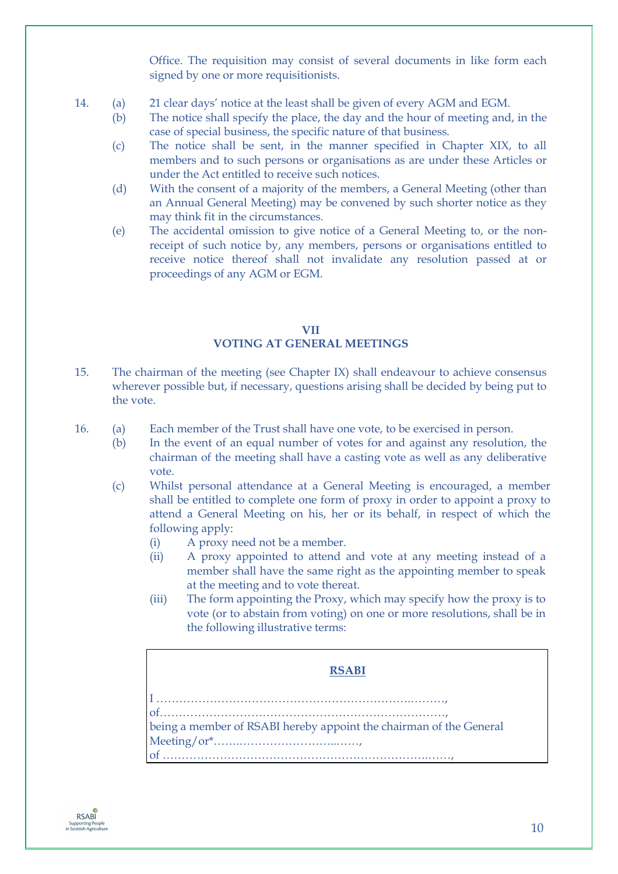Office. The requisition may consist of several documents in like form each signed by one or more requisitionists.

- 14. (a) 21 clear days' notice at the least shall be given of every AGM and EGM.
	- (b) The notice shall specify the place, the day and the hour of meeting and, in the case of special business, the specific nature of that business.
	- (c) The notice shall be sent, in the manner specified in Chapter XIX, to all members and to such persons or organisations as are under these Articles or under the Act entitled to receive such notices.
	- (d) With the consent of a majority of the members, a General Meeting (other than an Annual General Meeting) may be convened by such shorter notice as they may think fit in the circumstances.
	- (e) The accidental omission to give notice of a General Meeting to, or the nonreceipt of such notice by, any members, persons or organisations entitled to receive notice thereof shall not invalidate any resolution passed at or proceedings of any AGM or EGM.

# **VII VOTING AT GENERAL MEETINGS**

- 15. The chairman of the meeting (see Chapter IX) shall endeavour to achieve consensus wherever possible but, if necessary, questions arising shall be decided by being put to the vote.
- 16. (a) Each member of the Trust shall have one vote, to be exercised in person.
	- (b) In the event of an equal number of votes for and against any resolution, the chairman of the meeting shall have a casting vote as well as any deliberative vote.
	- (c) Whilst personal attendance at a General Meeting is encouraged, a member shall be entitled to complete one form of proxy in order to appoint a proxy to attend a General Meeting on his, her or its behalf, in respect of which the following apply:
		- (i) A proxy need not be a member.
		- (ii) A proxy appointed to attend and vote at any meeting instead of a member shall have the same right as the appointing member to speak at the meeting and to vote thereat.
		- (iii) The form appointing the Proxy, which may specify how the proxy is to vote (or to abstain from voting) on one or more resolutions, shall be in the following illustrative terms:

# **RSABI**  I ………………………………………………………….………, of…………………………………………………………………, being a member of RSABI hereby appoint the chairman of the General Meeting/or\*…….……………………..……, of …………………………………………………………….……,

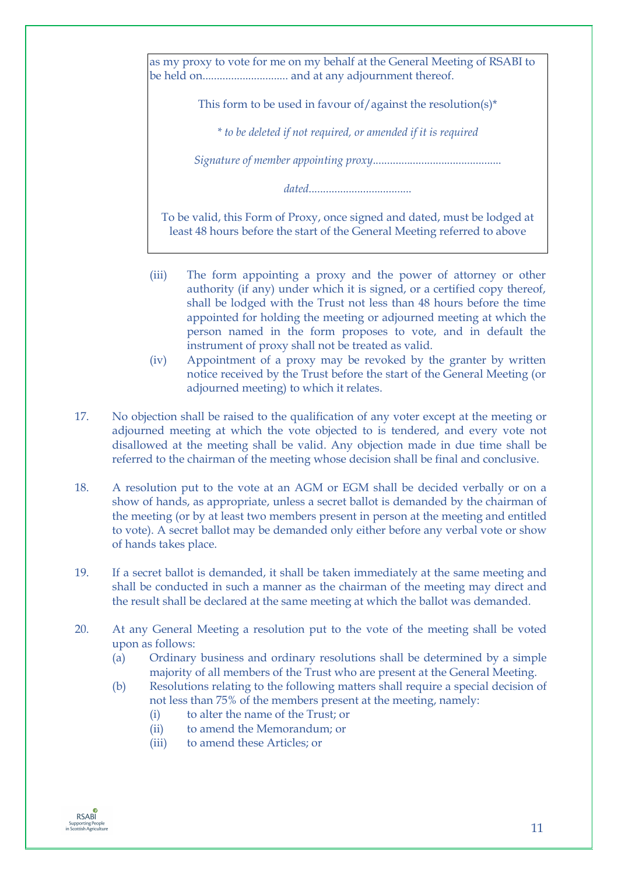as my proxy to vote for me on my behalf at the General Meeting of RSABI to be held on.............................. and at any adjournment thereof.

This form to be used in favour of/against the resolution(s)\*

*\* to be deleted if not required, or amended if it is required*

*Signature of member appointing proxy*.............................................

*dated*....................................

To be valid, this Form of Proxy, once signed and dated, must be lodged at least 48 hours before the start of the General Meeting referred to above

- (iii) The form appointing a proxy and the power of attorney or other authority (if any) under which it is signed, or a certified copy thereof, shall be lodged with the Trust not less than 48 hours before the time appointed for holding the meeting or adjourned meeting at which the person named in the form proposes to vote, and in default the instrument of proxy shall not be treated as valid.
- (iv) Appointment of a proxy may be revoked by the granter by written notice received by the Trust before the start of the General Meeting (or adjourned meeting) to which it relates.
- 17. No objection shall be raised to the qualification of any voter except at the meeting or adjourned meeting at which the vote objected to is tendered, and every vote not disallowed at the meeting shall be valid. Any objection made in due time shall be referred to the chairman of the meeting whose decision shall be final and conclusive.
- 18. A resolution put to the vote at an AGM or EGM shall be decided verbally or on a show of hands, as appropriate, unless a secret ballot is demanded by the chairman of the meeting (or by at least two members present in person at the meeting and entitled to vote). A secret ballot may be demanded only either before any verbal vote or show of hands takes place.
- 19. If a secret ballot is demanded, it shall be taken immediately at the same meeting and shall be conducted in such a manner as the chairman of the meeting may direct and the result shall be declared at the same meeting at which the ballot was demanded.
- 20. At any General Meeting a resolution put to the vote of the meeting shall be voted upon as follows:
	- (a) Ordinary business and ordinary resolutions shall be determined by a simple majority of all members of the Trust who are present at the General Meeting.
	- (b) Resolutions relating to the following matters shall require a special decision of not less than 75% of the members present at the meeting, namely:
		- (i) to alter the name of the Trust; or
		- (ii) to amend the Memorandum; or
		- (iii) to amend these Articles; or

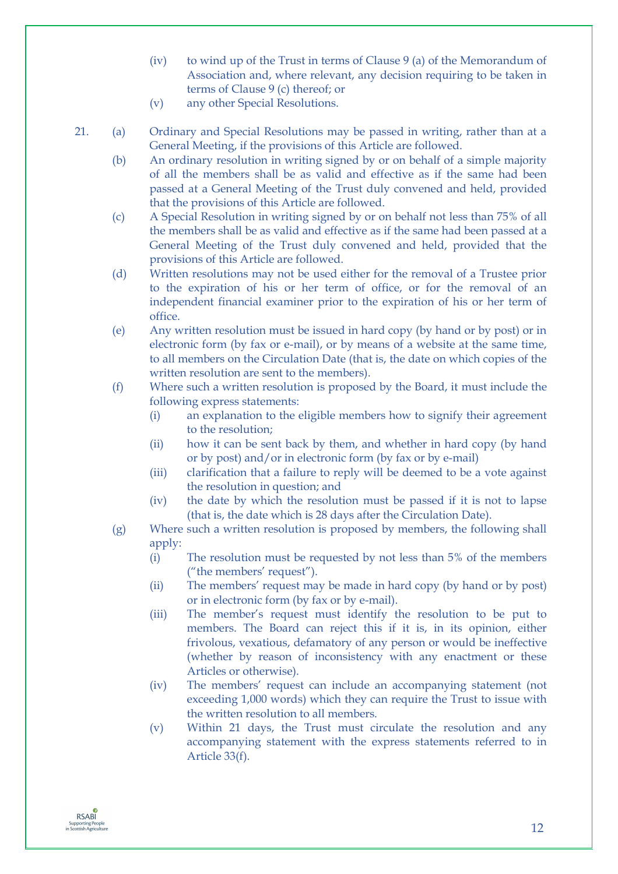- (iv) to wind up of the Trust in terms of Clause 9 (a) of the Memorandum of Association and, where relevant, any decision requiring to be taken in terms of Clause 9 (c) thereof; or
- (v) any other Special Resolutions.
- 21. (a) Ordinary and Special Resolutions may be passed in writing, rather than at a General Meeting, if the provisions of this Article are followed.
	- (b) An ordinary resolution in writing signed by or on behalf of a simple majority of all the members shall be as valid and effective as if the same had been passed at a General Meeting of the Trust duly convened and held, provided that the provisions of this Article are followed.
	- (c) A Special Resolution in writing signed by or on behalf not less than 75% of all the members shall be as valid and effective as if the same had been passed at a General Meeting of the Trust duly convened and held, provided that the provisions of this Article are followed.
	- (d) Written resolutions may not be used either for the removal of a Trustee prior to the expiration of his or her term of office, or for the removal of an independent financial examiner prior to the expiration of his or her term of office.
	- (e) Any written resolution must be issued in hard copy (by hand or by post) or in electronic form (by fax or e-mail), or by means of a website at the same time, to all members on the Circulation Date (that is, the date on which copies of the written resolution are sent to the members).
	- (f) Where such a written resolution is proposed by the Board, it must include the following express statements:
		- (i) an explanation to the eligible members how to signify their agreement to the resolution;
		- (ii) how it can be sent back by them, and whether in hard copy (by hand or by post) and/or in electronic form (by fax or by e-mail)
		- (iii) clarification that a failure to reply will be deemed to be a vote against the resolution in question; and
		- (iv) the date by which the resolution must be passed if it is not to lapse (that is, the date which is 28 days after the Circulation Date).
	- (g) Where such a written resolution is proposed by members, the following shall apply:
		- (i) The resolution must be requested by not less than 5% of the members ("the members' request").
		- (ii) The members' request may be made in hard copy (by hand or by post) or in electronic form (by fax or by e-mail).
		- (iii) The member's request must identify the resolution to be put to members. The Board can reject this if it is, in its opinion, either frivolous, vexatious, defamatory of any person or would be ineffective (whether by reason of inconsistency with any enactment or these Articles or otherwise).
		- (iv) The members' request can include an accompanying statement (not exceeding 1,000 words) which they can require the Trust to issue with the written resolution to all members.
		- (v) Within 21 days, the Trust must circulate the resolution and any accompanying statement with the express statements referred to in Article 33(f).

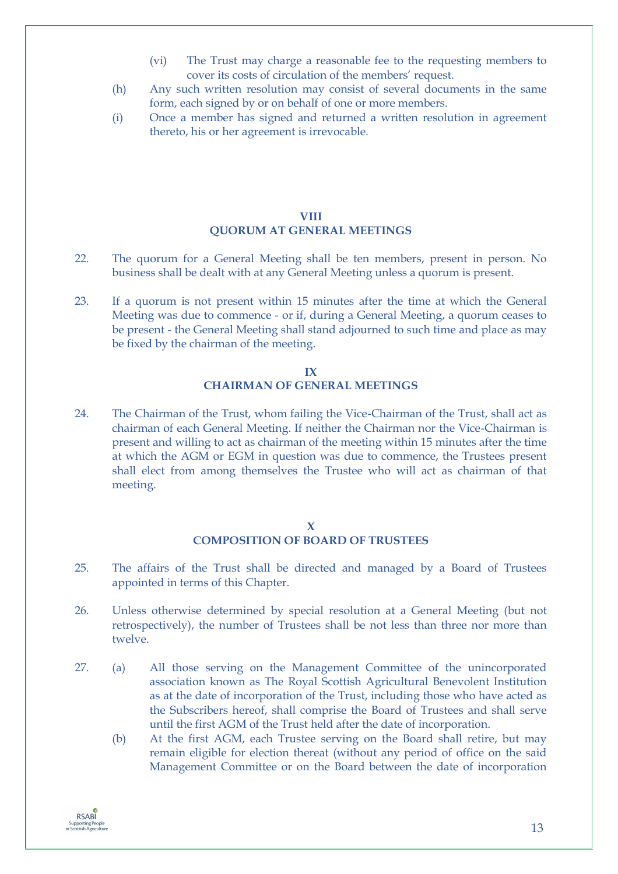- (vi) The Trust may charge a reasonable fee to the requesting members to cover its costs of circulation of the members' request.
- (h) Any such written resolution may consist of several documents in the same form, each signed by or on behalf of one or more members.
- (i) Once a member has signed and returned a written resolution in agreement thereto, his or her agreement is irrevocable.

# **VIII QUORUM AT GENERAL MEETINGS**

- 22. The quorum for a General Meeting shall be ten members, present in person. No business shall be dealt with at any General Meeting unless a quorum is present.
- 23. If a quorum is not present within 15 minutes after the time at which the General Meeting was due to commence - or if, during a General Meeting, a quorum ceases to be present - the General Meeting shall stand adjourned to such time and place as may be fixed by the chairman of the meeting.

# **IX CHAIRMAN OF GENERAL MEETINGS**

24. The Chairman of the Trust, whom failing the Vice-Chairman of the Trust, shall act as chairman of each General Meeting. If neither the Chairman nor the Vice-Chairman is present and willing to act as chairman of the meeting within 15 minutes after the time at which the AGM or EGM in question was due to commence, the Trustees present shall elect from among themselves the Trustee who will act as chairman of that meeting.

#### **X COMPOSITION OF BOARD OF TRUSTEES**

- 25. The affairs of the Trust shall be directed and managed by a Board of Trustees appointed in terms of this Chapter.
- 26. Unless otherwise determined by special resolution at a General Meeting (but not retrospectively), the number of Trustees shall be not less than three nor more than twelve.
- 27. (a) All those serving on the Management Committee of the unincorporated association known as The Royal Scottish Agricultural Benevolent Institution as at the date of incorporation of the Trust, including those who have acted as the Subscribers hereof, shall comprise the Board of Trustees and shall serve until the first AGM of the Trust held after the date of incorporation.
	- (b) At the first AGM, each Trustee serving on the Board shall retire, but may remain eligible for election thereat (without any period of office on the said Management Committee or on the Board between the date of incorporation

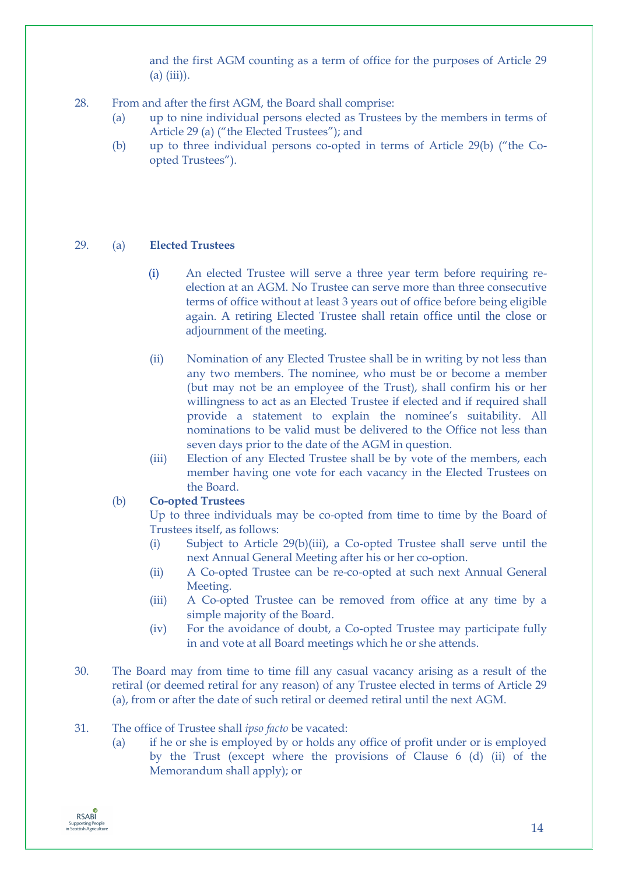and the first AGM counting as a term of office for the purposes of Article 29 (a) (iii)).

- 28. From and after the first AGM, the Board shall comprise:
	- (a) up to nine individual persons elected as Trustees by the members in terms of Article 29 (a) ("the Elected Trustees"); and
	- (b) up to three individual persons co-opted in terms of Article 29(b) ("the Coopted Trustees").

# 29. (a) **Elected Trustees**

- (i) An elected Trustee will serve a three year term before requiring reelection at an AGM. No Trustee can serve more than three consecutive terms of office without at least 3 years out of office before being eligible again. A retiring Elected Trustee shall retain office until the close or adjournment of the meeting.
- (ii) Nomination of any Elected Trustee shall be in writing by not less than any two members. The nominee, who must be or become a member (but may not be an employee of the Trust), shall confirm his or her willingness to act as an Elected Trustee if elected and if required shall provide a statement to explain the nominee's suitability. All nominations to be valid must be delivered to the Office not less than seven days prior to the date of the AGM in question.
- (iii) Election of any Elected Trustee shall be by vote of the members, each member having one vote for each vacancy in the Elected Trustees on the Board.

# (b) **Co-opted Trustees**

Up to three individuals may be co-opted from time to time by the Board of Trustees itself, as follows:

- (i) Subject to Article 29(b)(iii), a Co-opted Trustee shall serve until the next Annual General Meeting after his or her co-option.
- (ii) A Co-opted Trustee can be re-co-opted at such next Annual General Meeting.
- (iii) A Co-opted Trustee can be removed from office at any time by a simple majority of the Board.
- (iv) For the avoidance of doubt, a Co-opted Trustee may participate fully in and vote at all Board meetings which he or she attends.
- 30. The Board may from time to time fill any casual vacancy arising as a result of the retiral (or deemed retiral for any reason) of any Trustee elected in terms of Article 29 (a), from or after the date of such retiral or deemed retiral until the next AGM.
- 31. The office of Trustee shall *ipso facto* be vacated:
	- (a) if he or she is employed by or holds any office of profit under or is employed by the Trust (except where the provisions of Clause 6 (d) (ii) of the Memorandum shall apply); or

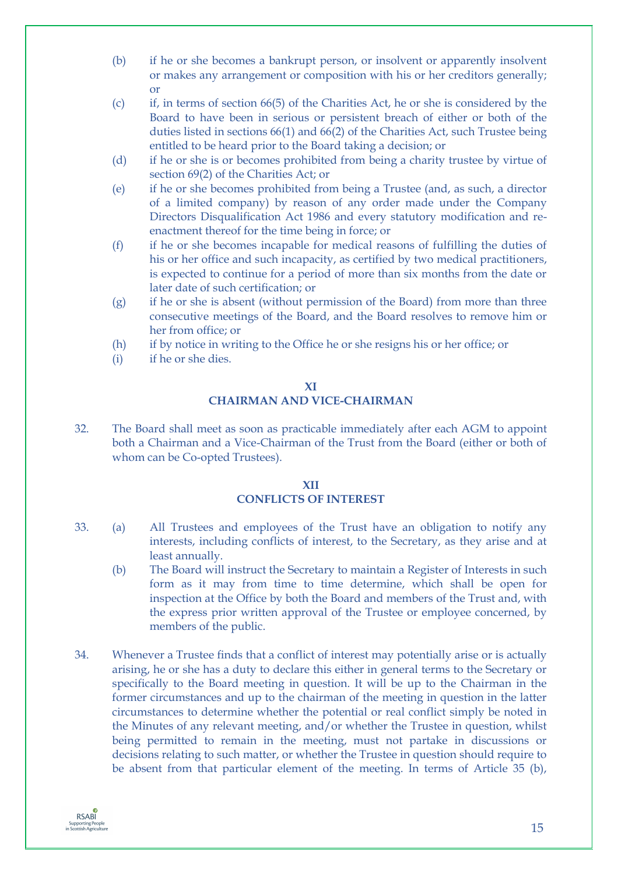- (b) if he or she becomes a bankrupt person, or insolvent or apparently insolvent or makes any arrangement or composition with his or her creditors generally; or
- (c) if, in terms of section 66(5) of the Charities Act, he or she is considered by the Board to have been in serious or persistent breach of either or both of the duties listed in sections 66(1) and 66(2) of the Charities Act, such Trustee being entitled to be heard prior to the Board taking a decision; or
- (d) if he or she is or becomes prohibited from being a charity trustee by virtue of section 69(2) of the Charities Act; or
- (e) if he or she becomes prohibited from being a Trustee (and, as such, a director of a limited company) by reason of any order made under the Company Directors Disqualification Act 1986 and every statutory modification and reenactment thereof for the time being in force; or
- (f) if he or she becomes incapable for medical reasons of fulfilling the duties of his or her office and such incapacity, as certified by two medical practitioners, is expected to continue for a period of more than six months from the date or later date of such certification; or
- (g) if he or she is absent (without permission of the Board) from more than three consecutive meetings of the Board, and the Board resolves to remove him or her from office; or
- (h) if by notice in writing to the Office he or she resigns his or her office; or
- (i) if he or she dies.

# **XI CHAIRMAN AND VICE-CHAIRMAN**

32. The Board shall meet as soon as practicable immediately after each AGM to appoint both a Chairman and a Vice-Chairman of the Trust from the Board (either or both of whom can be Co-opted Trustees).

# **XII CONFLICTS OF INTEREST**

- 33. (a) All Trustees and employees of the Trust have an obligation to notify any interests, including conflicts of interest, to the Secretary, as they arise and at least annually.
	- (b) The Board will instruct the Secretary to maintain a Register of Interests in such form as it may from time to time determine, which shall be open for inspection at the Office by both the Board and members of the Trust and, with the express prior written approval of the Trustee or employee concerned, by members of the public.
- 34. Whenever a Trustee finds that a conflict of interest may potentially arise or is actually arising, he or she has a duty to declare this either in general terms to the Secretary or specifically to the Board meeting in question. It will be up to the Chairman in the former circumstances and up to the chairman of the meeting in question in the latter circumstances to determine whether the potential or real conflict simply be noted in the Minutes of any relevant meeting, and/or whether the Trustee in question, whilst being permitted to remain in the meeting, must not partake in discussions or decisions relating to such matter, or whether the Trustee in question should require to be absent from that particular element of the meeting. In terms of Article 35 (b),

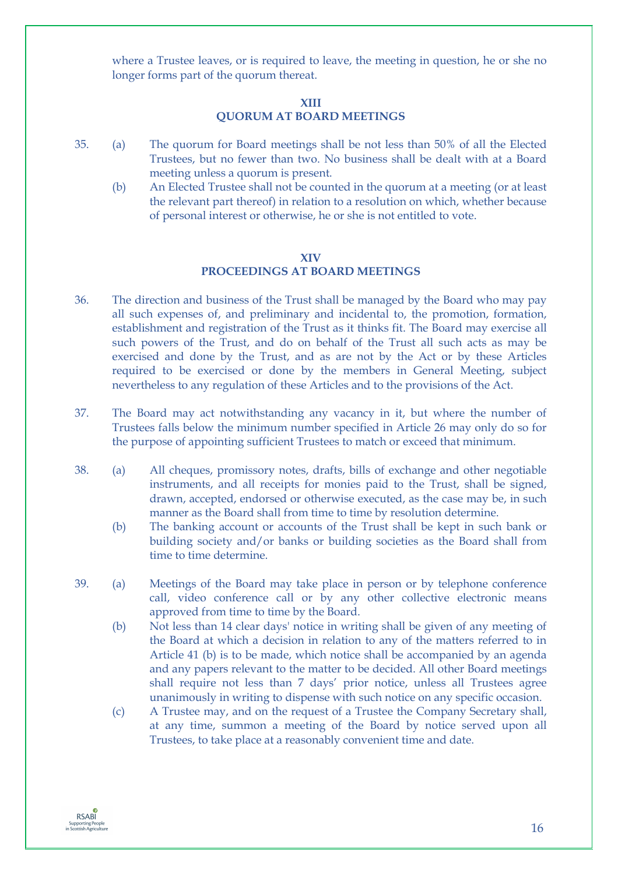where a Trustee leaves, or is required to leave, the meeting in question, he or she no longer forms part of the quorum thereat.

#### **XIII**

# **QUORUM AT BOARD MEETINGS**

- 35. (a) The quorum for Board meetings shall be not less than 50% of all the Elected Trustees, but no fewer than two. No business shall be dealt with at a Board meeting unless a quorum is present.
	- (b) An Elected Trustee shall not be counted in the quorum at a meeting (or at least the relevant part thereof) in relation to a resolution on which, whether because of personal interest or otherwise, he or she is not entitled to vote.

## **XIV**

# **PROCEEDINGS AT BOARD MEETINGS**

- 36. The direction and business of the Trust shall be managed by the Board who may pay all such expenses of, and preliminary and incidental to, the promotion, formation, establishment and registration of the Trust as it thinks fit. The Board may exercise all such powers of the Trust, and do on behalf of the Trust all such acts as may be exercised and done by the Trust, and as are not by the Act or by these Articles required to be exercised or done by the members in General Meeting, subject nevertheless to any regulation of these Articles and to the provisions of the Act.
- 37. The Board may act notwithstanding any vacancy in it, but where the number of Trustees falls below the minimum number specified in Article 26 may only do so for the purpose of appointing sufficient Trustees to match or exceed that minimum.
- 38. (a) All cheques, promissory notes, drafts, bills of exchange and other negotiable instruments, and all receipts for monies paid to the Trust, shall be signed, drawn, accepted, endorsed or otherwise executed, as the case may be, in such manner as the Board shall from time to time by resolution determine.
	- (b) The banking account or accounts of the Trust shall be kept in such bank or building society and/or banks or building societies as the Board shall from time to time determine.
- 39. (a) Meetings of the Board may take place in person or by telephone conference call, video conference call or by any other collective electronic means approved from time to time by the Board.
	- (b) Not less than 14 clear days' notice in writing shall be given of any meeting of the Board at which a decision in relation to any of the matters referred to in Article 41 (b) is to be made, which notice shall be accompanied by an agenda and any papers relevant to the matter to be decided. All other Board meetings shall require not less than 7 days' prior notice, unless all Trustees agree unanimously in writing to dispense with such notice on any specific occasion.
	- (c) A Trustee may, and on the request of a Trustee the Company Secretary shall, at any time, summon a meeting of the Board by notice served upon all Trustees, to take place at a reasonably convenient time and date.

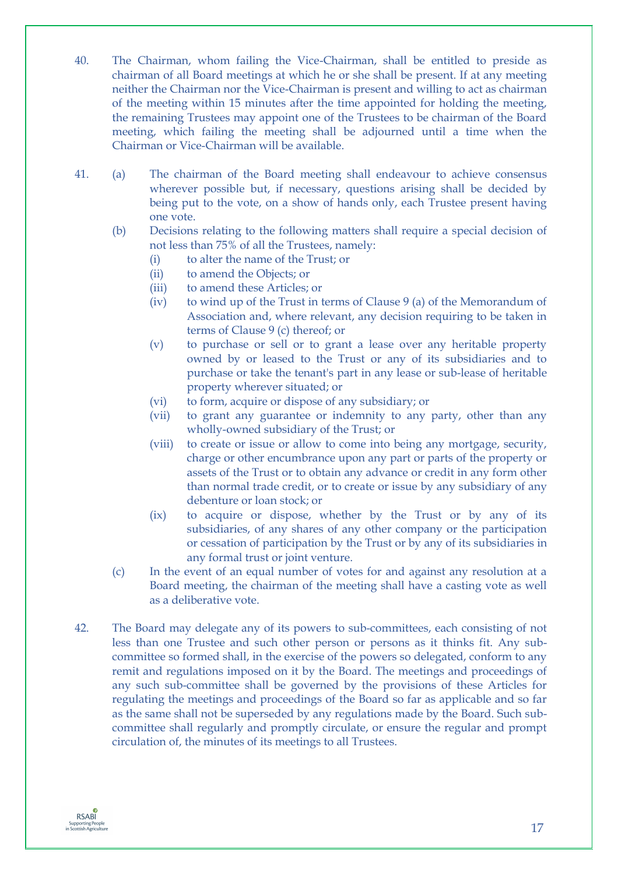- 40. The Chairman, whom failing the Vice-Chairman, shall be entitled to preside as chairman of all Board meetings at which he or she shall be present. If at any meeting neither the Chairman nor the Vice-Chairman is present and willing to act as chairman of the meeting within 15 minutes after the time appointed for holding the meeting, the remaining Trustees may appoint one of the Trustees to be chairman of the Board meeting, which failing the meeting shall be adjourned until a time when the Chairman or Vice-Chairman will be available.
- 41. (a) The chairman of the Board meeting shall endeavour to achieve consensus wherever possible but, if necessary, questions arising shall be decided by being put to the vote, on a show of hands only, each Trustee present having one vote.
	- (b) Decisions relating to the following matters shall require a special decision of not less than 75% of all the Trustees, namely:
		- (i) to alter the name of the Trust; or
		- (ii) to amend the Objects; or
		- (iii) to amend these Articles; or
		- (iv) to wind up of the Trust in terms of Clause 9 (a) of the Memorandum of Association and, where relevant, any decision requiring to be taken in terms of Clause 9 (c) thereof; or
		- (v) to purchase or sell or to grant a lease over any heritable property owned by or leased to the Trust or any of its subsidiaries and to purchase or take the tenant's part in any lease or sub-lease of heritable property wherever situated; or
		- (vi) to form, acquire or dispose of any subsidiary; or
		- (vii) to grant any guarantee or indemnity to any party, other than any wholly-owned subsidiary of the Trust; or
		- (viii) to create or issue or allow to come into being any mortgage, security, charge or other encumbrance upon any part or parts of the property or assets of the Trust or to obtain any advance or credit in any form other than normal trade credit, or to create or issue by any subsidiary of any debenture or loan stock; or
		- (ix) to acquire or dispose, whether by the Trust or by any of its subsidiaries, of any shares of any other company or the participation or cessation of participation by the Trust or by any of its subsidiaries in any formal trust or joint venture.
	- (c) In the event of an equal number of votes for and against any resolution at a Board meeting, the chairman of the meeting shall have a casting vote as well as a deliberative vote.
- 42. The Board may delegate any of its powers to sub-committees, each consisting of not less than one Trustee and such other person or persons as it thinks fit. Any subcommittee so formed shall, in the exercise of the powers so delegated, conform to any remit and regulations imposed on it by the Board. The meetings and proceedings of any such sub-committee shall be governed by the provisions of these Articles for regulating the meetings and proceedings of the Board so far as applicable and so far as the same shall not be superseded by any regulations made by the Board. Such subcommittee shall regularly and promptly circulate, or ensure the regular and prompt circulation of, the minutes of its meetings to all Trustees.

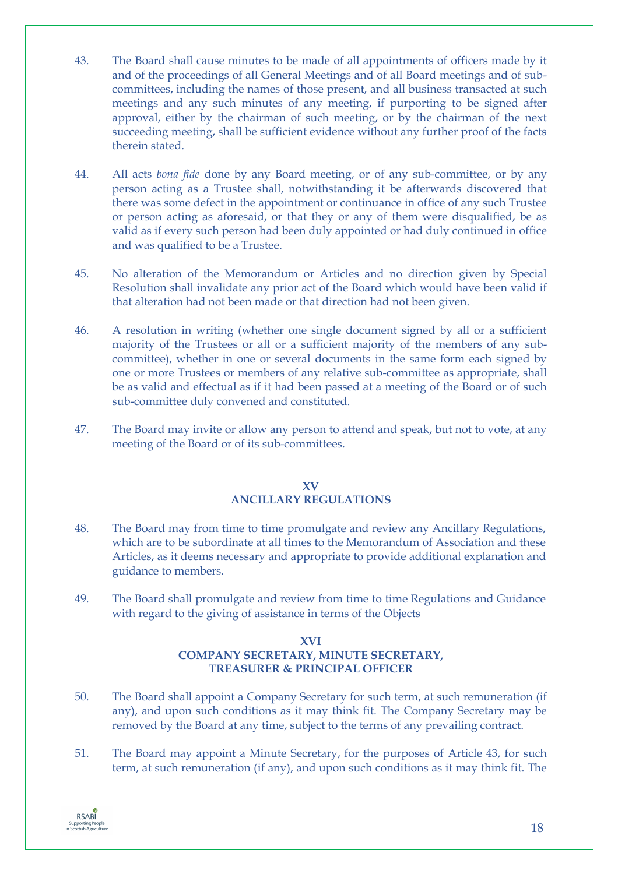- 43. The Board shall cause minutes to be made of all appointments of officers made by it and of the proceedings of all General Meetings and of all Board meetings and of subcommittees, including the names of those present, and all business transacted at such meetings and any such minutes of any meeting, if purporting to be signed after approval, either by the chairman of such meeting, or by the chairman of the next succeeding meeting, shall be sufficient evidence without any further proof of the facts therein stated.
- 44. All acts *bona fide* done by any Board meeting, or of any sub-committee, or by any person acting as a Trustee shall, notwithstanding it be afterwards discovered that there was some defect in the appointment or continuance in office of any such Trustee or person acting as aforesaid, or that they or any of them were disqualified, be as valid as if every such person had been duly appointed or had duly continued in office and was qualified to be a Trustee.
- 45. No alteration of the Memorandum or Articles and no direction given by Special Resolution shall invalidate any prior act of the Board which would have been valid if that alteration had not been made or that direction had not been given.
- 46. A resolution in writing (whether one single document signed by all or a sufficient majority of the Trustees or all or a sufficient majority of the members of any subcommittee), whether in one or several documents in the same form each signed by one or more Trustees or members of any relative sub-committee as appropriate, shall be as valid and effectual as if it had been passed at a meeting of the Board or of such sub-committee duly convened and constituted.
- 47. The Board may invite or allow any person to attend and speak, but not to vote, at any meeting of the Board or of its sub-committees.

# **XV ANCILLARY REGULATIONS**

- 48. The Board may from time to time promulgate and review any Ancillary Regulations, which are to be subordinate at all times to the Memorandum of Association and these Articles, as it deems necessary and appropriate to provide additional explanation and guidance to members.
- 49. The Board shall promulgate and review from time to time Regulations and Guidance with regard to the giving of assistance in terms of the Objects

# **XVI COMPANY SECRETARY, MINUTE SECRETARY, TREASURER & PRINCIPAL OFFICER**

- 50. The Board shall appoint a Company Secretary for such term, at such remuneration (if any), and upon such conditions as it may think fit. The Company Secretary may be removed by the Board at any time, subject to the terms of any prevailing contract.
- 51. The Board may appoint a Minute Secretary, for the purposes of Article 43, for such term, at such remuneration (if any), and upon such conditions as it may think fit. The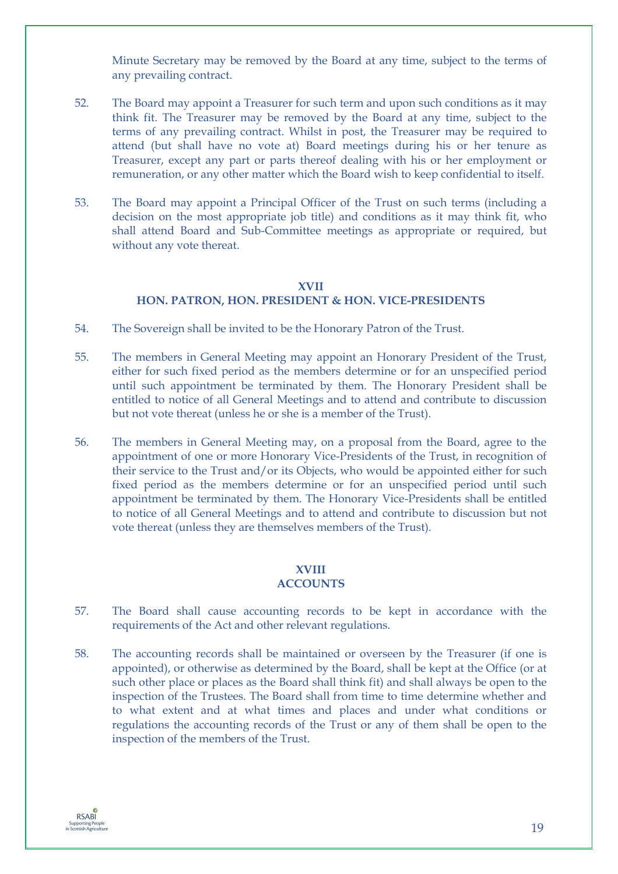Minute Secretary may be removed by the Board at any time, subject to the terms of any prevailing contract.

- 52. The Board may appoint a Treasurer for such term and upon such conditions as it may think fit. The Treasurer may be removed by the Board at any time, subject to the terms of any prevailing contract. Whilst in post, the Treasurer may be required to attend (but shall have no vote at) Board meetings during his or her tenure as Treasurer, except any part or parts thereof dealing with his or her employment or remuneration, or any other matter which the Board wish to keep confidential to itself.
- 53. The Board may appoint a Principal Officer of the Trust on such terms (including a decision on the most appropriate job title) and conditions as it may think fit, who shall attend Board and Sub-Committee meetings as appropriate or required, but without any vote thereat.

# **XVII HON. PATRON, HON. PRESIDENT & HON. VICE-PRESIDENTS**

- 54. The Sovereign shall be invited to be the Honorary Patron of the Trust.
- 55. The members in General Meeting may appoint an Honorary President of the Trust, either for such fixed period as the members determine or for an unspecified period until such appointment be terminated by them. The Honorary President shall be entitled to notice of all General Meetings and to attend and contribute to discussion but not vote thereat (unless he or she is a member of the Trust).
- 56. The members in General Meeting may, on a proposal from the Board, agree to the appointment of one or more Honorary Vice-Presidents of the Trust, in recognition of their service to the Trust and/or its Objects, who would be appointed either for such fixed period as the members determine or for an unspecified period until such appointment be terminated by them. The Honorary Vice-Presidents shall be entitled to notice of all General Meetings and to attend and contribute to discussion but not vote thereat (unless they are themselves members of the Trust).

# **XVIII**

# **ACCOUNTS**

- 57. The Board shall cause accounting records to be kept in accordance with the requirements of the Act and other relevant regulations.
- 58. The accounting records shall be maintained or overseen by the Treasurer (if one is appointed), or otherwise as determined by the Board, shall be kept at the Office (or at such other place or places as the Board shall think fit) and shall always be open to the inspection of the Trustees. The Board shall from time to time determine whether and to what extent and at what times and places and under what conditions or regulations the accounting records of the Trust or any of them shall be open to the inspection of the members of the Trust.

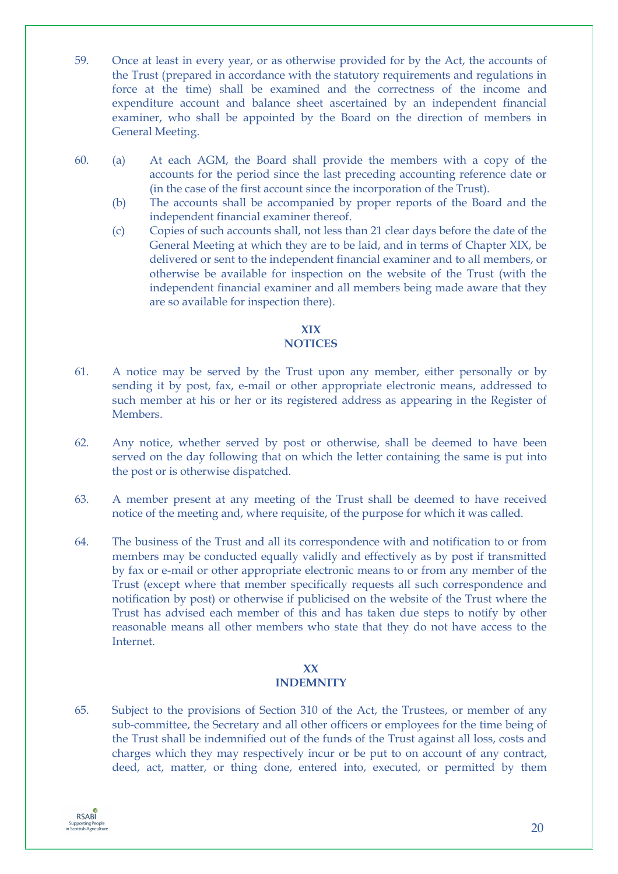- 59. Once at least in every year, or as otherwise provided for by the Act, the accounts of the Trust (prepared in accordance with the statutory requirements and regulations in force at the time) shall be examined and the correctness of the income and expenditure account and balance sheet ascertained by an independent financial examiner, who shall be appointed by the Board on the direction of members in General Meeting.
- 60. (a) At each AGM, the Board shall provide the members with a copy of the accounts for the period since the last preceding accounting reference date or (in the case of the first account since the incorporation of the Trust).
	- (b) The accounts shall be accompanied by proper reports of the Board and the independent financial examiner thereof.
	- (c) Copies of such accounts shall, not less than 21 clear days before the date of the General Meeting at which they are to be laid, and in terms of Chapter XIX, be delivered or sent to the independent financial examiner and to all members, or otherwise be available for inspection on the website of the Trust (with the independent financial examiner and all members being made aware that they are so available for inspection there).

# **XIX NOTICES**

- 61. A notice may be served by the Trust upon any member, either personally or by sending it by post, fax, e-mail or other appropriate electronic means, addressed to such member at his or her or its registered address as appearing in the Register of Members.
- 62. Any notice, whether served by post or otherwise, shall be deemed to have been served on the day following that on which the letter containing the same is put into the post or is otherwise dispatched.
- 63. A member present at any meeting of the Trust shall be deemed to have received notice of the meeting and, where requisite, of the purpose for which it was called.
- 64. The business of the Trust and all its correspondence with and notification to or from members may be conducted equally validly and effectively as by post if transmitted by fax or e-mail or other appropriate electronic means to or from any member of the Trust (except where that member specifically requests all such correspondence and notification by post) or otherwise if publicised on the website of the Trust where the Trust has advised each member of this and has taken due steps to notify by other reasonable means all other members who state that they do not have access to the Internet.

# **XX INDEMNITY**

65. Subject to the provisions of Section 310 of the Act, the Trustees, or member of any sub-committee, the Secretary and all other officers or employees for the time being of the Trust shall be indemnified out of the funds of the Trust against all loss, costs and charges which they may respectively incur or be put to on account of any contract, deed, act, matter, or thing done, entered into, executed, or permitted by them